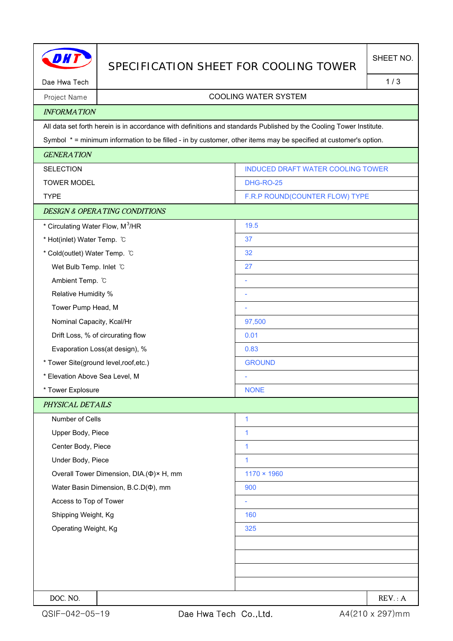|                                              | SPECIFICATION SHEET FOR COOLING TOWER                                                                               |                                          | SHEET NO. |
|----------------------------------------------|---------------------------------------------------------------------------------------------------------------------|------------------------------------------|-----------|
| Dae Hwa Tech                                 |                                                                                                                     |                                          | 1/3       |
| Project Name                                 |                                                                                                                     | <b>COOLING WATER SYSTEM</b>              |           |
| <b>INFORMATION</b>                           |                                                                                                                     |                                          |           |
|                                              | All data set forth herein is in accordance with definitions and standards Published by the Cooling Tower Institute. |                                          |           |
|                                              | Symbol * = minimum information to be filled - in by customer, other items may be specified at customer's option.    |                                          |           |
| <b>GENERATION</b>                            |                                                                                                                     |                                          |           |
| <b>SELECTION</b>                             |                                                                                                                     | <b>INDUCED DRAFT WATER COOLING TOWER</b> |           |
| <b>TOWER MODEL</b>                           |                                                                                                                     | <b>DHG-RO-25</b>                         |           |
| <b>TYPE</b>                                  |                                                                                                                     | F.R.P ROUND(COUNTER FLOW) TYPE           |           |
|                                              | <b>DESIGN &amp; OPERATING CONDITIONS</b>                                                                            |                                          |           |
| * Circulating Water Flow, M <sup>3</sup> /HR |                                                                                                                     | 19.5                                     |           |
| * Hot(inlet) Water Temp. °C                  |                                                                                                                     | 37                                       |           |
| * Cold(outlet) Water Temp. °C                |                                                                                                                     | 32                                       |           |
| Wet Bulb Temp. Inlet C                       |                                                                                                                     | 27                                       |           |
| Ambient Temp. °C                             |                                                                                                                     | L.                                       |           |
| Relative Humidity %                          |                                                                                                                     |                                          |           |
| Tower Pump Head, M                           |                                                                                                                     |                                          |           |
| Nominal Capacity, Kcal/Hr                    |                                                                                                                     | 97,500                                   |           |
| Drift Loss, % of circurating flow            |                                                                                                                     | 0.01                                     |           |
| Evaporation Loss(at design), %               |                                                                                                                     | 0.83                                     |           |
| * Tower Site(ground level, roof, etc.)       |                                                                                                                     | <b>GROUND</b>                            |           |
| * Elevation Above Sea Level, M               |                                                                                                                     |                                          |           |
| * Tower Explosure                            |                                                                                                                     | <b>NONE</b>                              |           |
| PHYSICAL DETAILS                             |                                                                                                                     |                                          |           |
| Number of Cells                              |                                                                                                                     | 1                                        |           |
| Upper Body, Piece                            |                                                                                                                     | $\mathbf{1}$                             |           |
| Center Body, Piece                           |                                                                                                                     | $\mathbf{1}$                             |           |
| Under Body, Piece                            |                                                                                                                     | $\mathbf{1}$                             |           |
| Overall Tower Dimension, DIA.(Φ)× H, mm      |                                                                                                                     | $1170 \times 1960$                       |           |
| Water Basin Dimension, B.C.D( $\Phi$ ), mm   |                                                                                                                     | 900                                      |           |
| Access to Top of Tower                       |                                                                                                                     |                                          |           |
| Shipping Weight, Kg                          |                                                                                                                     | 160                                      |           |
| Operating Weight, Kg                         |                                                                                                                     | 325                                      |           |
|                                              |                                                                                                                     |                                          |           |
|                                              |                                                                                                                     |                                          |           |
|                                              |                                                                                                                     |                                          |           |
|                                              |                                                                                                                     |                                          |           |
| DOC. NO.                                     |                                                                                                                     |                                          | REV. : A  |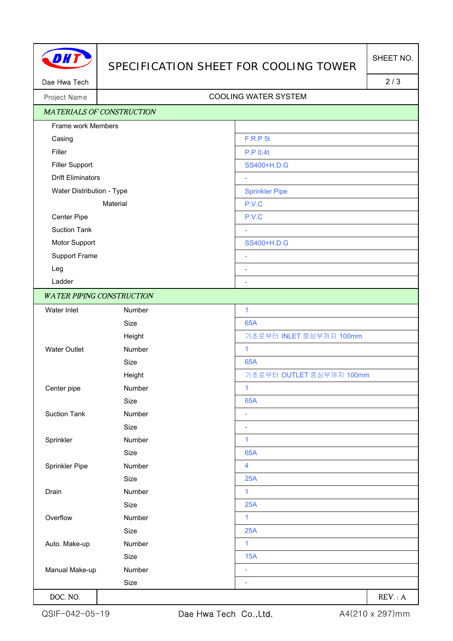## SPECIFICATION SHEET FOR COOLING TOWER

Dae Hwa Tech 2/3

## Project Name | Name | Name | Name | Name | Name | Name | Name | Name | Name | Name | Name | Name | Name | Name | Name | Name | Name | Name | Name | Name | Name | Name | Name | Name | Name | Name | Name | Name | Name | Name

| <b>MATERIALS OF CONSTRUCTION</b> |        |                          |
|----------------------------------|--------|--------------------------|
| Frame work Members               |        |                          |
| Casing                           |        | <b>F.R.P 5t</b>          |
| Filler                           |        | P.P 0.4t                 |
| <b>Filler Support</b>            |        | SS400+H.D.G              |
| <b>Drift Eliminators</b>         |        | ÷,                       |
| Water Distribution - Type        |        | <b>Sprinkler Pipe</b>    |
| Material                         |        | P.V.C                    |
| Center Pipe                      |        | P.V.C                    |
| <b>Suction Tank</b>              |        |                          |
| Motor Support                    |        | SS400+H.D.G              |
| Support Frame                    |        | ÷                        |
| Leg                              |        | ۰                        |
| Ladder                           |        | $\overline{\phantom{a}}$ |
| <b>WATER PIPING CONSTRUCTION</b> |        |                          |
| Water Inlet                      | Number | $\mathbf{1}$             |
|                                  | Size   | <b>65A</b>               |
|                                  | Height | 기초로부터 INLET 중심부까지 100mm  |
| <b>Water Outlet</b>              | Number | 1                        |
|                                  | Size   | <b>65A</b>               |
|                                  | Height | 기초로부터 OUTLET 중심부까지 100mm |
| Center pipe                      | Number | $\mathbf{1}$             |
|                                  | Size   | 65A                      |
| <b>Suction Tank</b>              | Number | ÷,                       |
|                                  | Size   | ÷,                       |
| Sprinkler                        | Number | 1                        |
|                                  | Size   | 65A                      |
| Sprinkler Pipe                   | Number | $\overline{\mathbf{4}}$  |
|                                  | Size   | 25A                      |
| Drain                            | Number | $\mathbf{1}$             |
|                                  | Size   | 25A                      |
| Overflow                         | Number | 1                        |
|                                  | Size   | 25A                      |
| 1<br>Auto. Make-up<br>Number     |        |                          |
|                                  | Size   | 15A                      |
| Manual Make-up                   | Number | ÷                        |
|                                  | Size   | ÷,                       |
| DOC. NO.                         |        | REV: A                   |